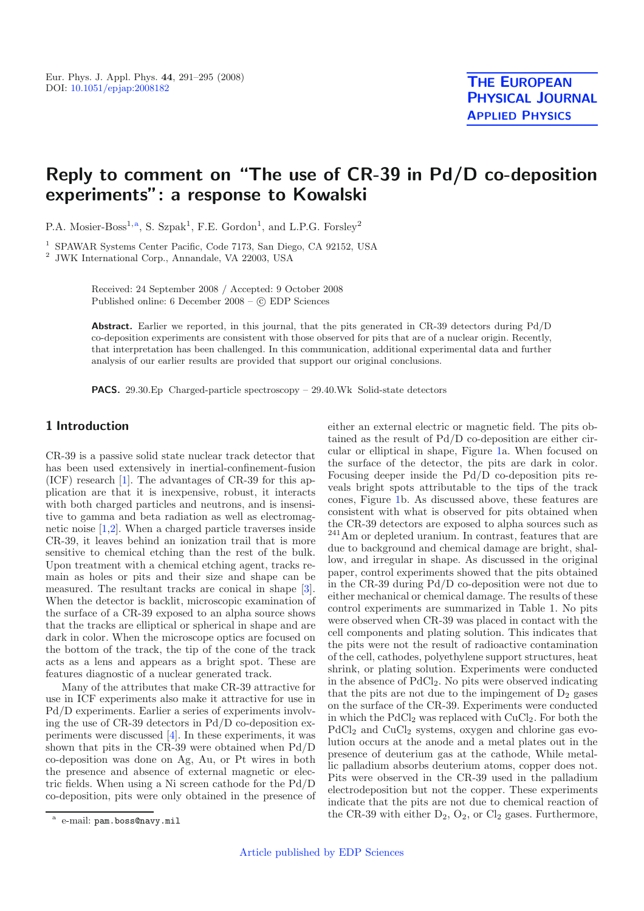# **Reply to comment on "The use of CR-39 in Pd/D co-deposition experiments": a response to Kowalski**

P.A. Mosier-Boss<sup>1,a</sup>, S. Szpak<sup>1</sup>, F.E. Gordon<sup>1</sup>, and L.P.G. Forsley<sup>2</sup>

<sup>1</sup> SPAWAR Systems Center Pacific, Code 7173, San Diego, CA 92152, USA

<sup>2</sup> JWK International Corp., Annandale, VA 22003, USA

Received: 24 September 2008 / Accepted: 9 October 2008 Published online: 6 December 2008 – © EDP Sciences

**Abstract.** Earlier we reported, in this journal, that the pits generated in CR-39 detectors during Pd/D co-deposition experiments are consistent with those observed for pits that are of a nuclear origin. Recently, that interpretation has been challenged. In this communication, additional experimental data and further analysis of our earlier results are provided that support our original conclusions.

**PACS.** 29.30.Ep Charged-particle spectroscopy – 29.40.Wk Solid-state detectors

# **1 Introduction**

CR-39 is a passive solid state nuclear track detector that has been used extensively in inertial-confinement-fusion (ICF) research [\[1\]](#page-4-0). The advantages of CR-39 for this application are that it is inexpensive, robust, it interacts with both charged particles and neutrons, and is insensitive to gamma and beta radiation as well as electromagnetic noise [\[1](#page-4-0)[,2\]](#page-4-1). When a charged particle traverses inside CR-39, it leaves behind an ionization trail that is more sensitive to chemical etching than the rest of the bulk. Upon treatment with a chemical etching agent, tracks remain as holes or pits and their size and shape can be measured. The resultant tracks are conical in shape [\[3\]](#page-4-2). When the detector is backlit, microscopic examination of the surface of a CR-39 exposed to an alpha source shows that the tracks are elliptical or spherical in shape and are dark in color. When the microscope optics are focused on the bottom of the track, the tip of the cone of the track acts as a lens and appears as a bright spot. These are features diagnostic of a nuclear generated track.

Many of the attributes that make CR-39 attractive for use in ICF experiments also make it attractive for use in Pd/D experiments. Earlier a series of experiments involving the use of CR-39 detectors in Pd/D co-deposition experiments were discussed [\[4\]](#page-4-3). In these experiments, it was shown that pits in the CR-39 were obtained when Pd/D co-deposition was done on Ag, Au, or Pt wires in both the presence and absence of external magnetic or electric fields. When using a Ni screen cathode for the Pd/D co-deposition, pits were only obtained in the presence of either an external electric or magnetic field. The pits obtained as the result of Pd/D co-deposition are either circular or elliptical in shape, Figure [1a](#page-1-0). When focused on the surface of the detector, the pits are dark in color. Focusing deeper inside the Pd/D co-deposition pits reveals bright spots attributable to the tips of the track cones, Figure [1b](#page-1-0). As discussed above, these features are consistent with what is observed for pits obtained when the CR-39 detectors are exposed to alpha sources such as <sup>241</sup>Am or depleted uranium. In contrast, features that are due to background and chemical damage are bright, shallow, and irregular in shape. As discussed in the original paper, control experiments showed that the pits obtained in the CR-39 during Pd/D co-deposition were not due to either mechanical or chemical damage. The results of these control experiments are summarized in Table 1. No pits were observed when CR-39 was placed in contact with the cell components and plating solution. This indicates that the pits were not the result of radioactive contamination of the cell, cathodes, polyethylene support structures, heat shrink, or plating solution. Experiments were conducted in the absence of PdCl2. No pits were observed indicating that the pits are not due to the impingement of  $D_2$  gases on the surface of the CR-39. Experiments were conducted in which the  $PdCl_2$  was replaced with  $CuCl_2$ . For both the PdCl<sub>2</sub> and CuCl<sub>2</sub> systems, oxygen and chlorine gas evolution occurs at the anode and a metal plates out in the presence of deuterium gas at the cathode, While metallic palladium absorbs deuterium atoms, copper does not. Pits were observed in the CR-39 used in the palladium electrodeposition but not the copper. These experiments indicate that the pits are not due to chemical reaction of the CR-39 with either  $D_2$ ,  $O_2$ , or  $Cl_2$  gases. Furthermore,

e-mail: pam.boss@navy.mil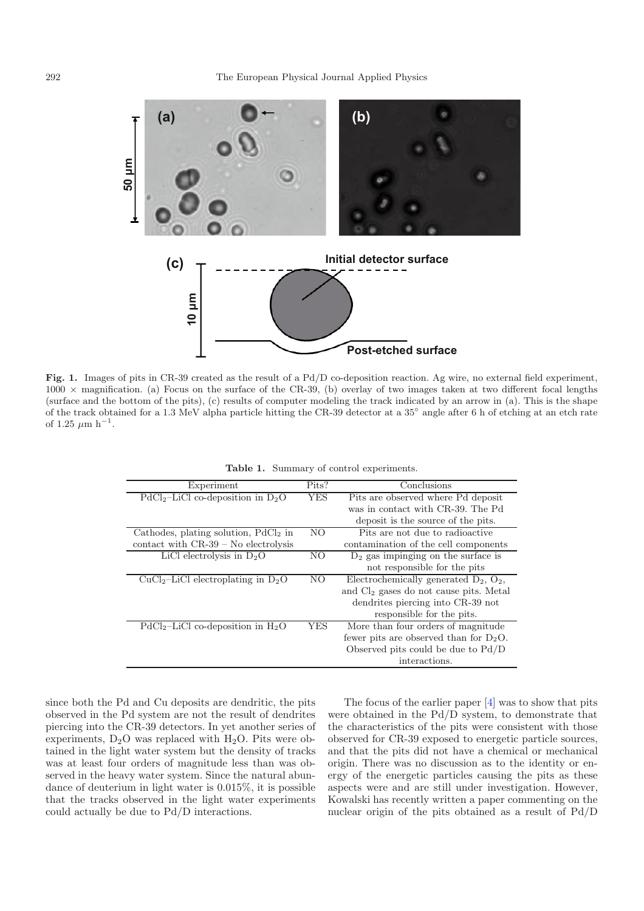

<span id="page-1-0"></span>**Fig. 1.** Images of pits in CR-39 created as the result of a Pd/D co-deposition reaction. Ag wire, no external field experiment,  $1000 \times$  magnification. (a) Focus on the surface of the CR-39, (b) overlay of two images taken at two different focal lengths (surface and the bottom of the pits), (c) results of computer modeling the track indicated by an arrow in (a). This is the shape of the track obtained for a 1.3 MeV alpha particle hitting the CR-39 detector at a 35◦ angle after 6 h of etching at an etch rate of 1.25  $\mu$ m h<sup>-1</sup>.

| Experiment                             | Pits?          | Conclusions                                 |
|----------------------------------------|----------------|---------------------------------------------|
| $PdCl2-LiCl$ co-deposition in $D2O$    | <b>YES</b>     | Pits are observed where Pd deposit          |
|                                        |                | was in contact with CR-39. The Pd           |
|                                        |                | deposit is the source of the pits.          |
| Cathodes, plating solution, $PdCl2$ in | N <sub>O</sub> | Pits are not due to radioactive             |
| contact with $CR-39$ – No electrolysis |                | contamination of the cell components        |
| LiCl electrolysis in $D_2O$            | N <sub>O</sub> | $D_2$ gas impinging on the surface is       |
|                                        |                | not responsible for the pits                |
| $CuCl2-LiCl$ electroplating in $D2O$   | NO             | Electrochemically generated $D_2$ , $O_2$ , |
|                                        |                | and $Cl2$ gases do not cause pits. Metal    |
|                                        |                | dendrites piercing into CR-39 not           |
|                                        |                | responsible for the pits.                   |
| $PdCl_2-LiCl$ co-deposition in $H_2O$  | YES            | More than four orders of magnitude          |
|                                        |                | fewer pits are observed than for $D_2O$ .   |
|                                        |                | Observed pits could be due to $Pd/D$        |
|                                        |                | interactions.                               |

**Table 1.** Summary of control experiments.

since both the Pd and Cu deposits are dendritic, the pits observed in the Pd system are not the result of dendrites piercing into the CR-39 detectors. In yet another series of experiments,  $D_2O$  was replaced with  $H_2O$ . Pits were obtained in the light water system but the density of tracks was at least four orders of magnitude less than was observed in the heavy water system. Since the natural abundance of deuterium in light water is 0.015%, it is possible that the tracks observed in the light water experiments could actually be due to Pd/D interactions.

The focus of the earlier paper [\[4](#page-4-3)] was to show that pits were obtained in the Pd/D system, to demonstrate that the characteristics of the pits were consistent with those observed for CR-39 exposed to energetic particle sources, and that the pits did not have a chemical or mechanical origin. There was no discussion as to the identity or energy of the energetic particles causing the pits as these aspects were and are still under investigation. However, Kowalski has recently written a paper commenting on the nuclear origin of the pits obtained as a result of Pd/D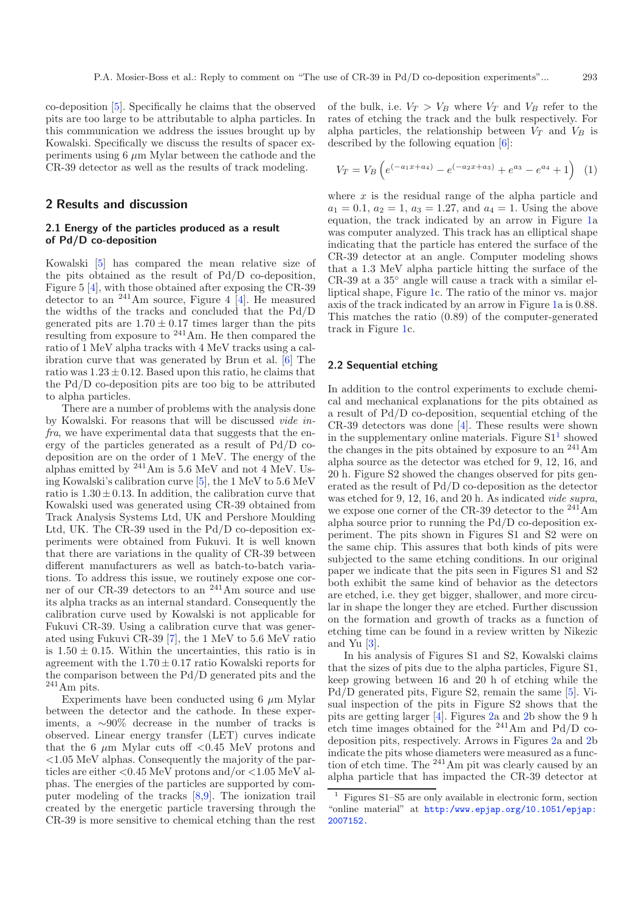co-deposition [\[5\]](#page-4-4). Specifically he claims that the observed pits are too large to be attributable to alpha particles. In this communication we address the issues brought up by Kowalski. Specifically we discuss the results of spacer experiments using 6 *µ*m Mylar between the cathode and the CR-39 detector as well as the results of track modeling.

## **2 Results and discussion**

### **2.1 Energy of the particles produced as a result of Pd/D co-deposition**

Kowalski [\[5](#page-4-4)] has compared the mean relative size of the pits obtained as the result of Pd/D co-deposition, Figure 5 [\[4](#page-4-3)], with those obtained after exposing the CR-39 detector to an  $241$ Am source, Figure 4 [\[4\]](#page-4-3). He measured the widths of the tracks and concluded that the Pd/D generated pits are  $1.70 \pm 0.17$  times larger than the pits resulting from exposure to <sup>241</sup>Am. He then compared the ratio of 1 MeV alpha tracks with 4 MeV tracks using a calibration curve that was generated by Brun et al. [\[6\]](#page-4-5) The ratio was  $1.23 \pm 0.12$ . Based upon this ratio, he claims that the Pd/D co-deposition pits are too big to be attributed to alpha particles.

There are a number of problems with the analysis done by Kowalski. For reasons that will be discussed *vide infra*, we have experimental data that suggests that the energy of the particles generated as a result of Pd/D codeposition are on the order of 1 MeV. The energy of the alphas emitted by  $^{241}$ Am is 5.6 MeV and not 4 MeV. Using Kowalski's calibration curve [\[5\]](#page-4-4), the 1 MeV to 5.6 MeV ratio is  $1.30 \pm 0.13$ . In addition, the calibration curve that Kowalski used was generated using CR-39 obtained from Track Analysis Systems Ltd, UK and Pershore Moulding Ltd, UK. The CR-39 used in the Pd/D co-deposition experiments were obtained from Fukuvi. It is well known that there are variations in the quality of CR-39 between different manufacturers as well as batch-to-batch variations. To address this issue, we routinely expose one corner of our CR-39 detectors to an <sup>241</sup>Am source and use its alpha tracks as an internal standard. Consequently the calibration curve used by Kowalski is not applicable for Fukuvi CR-39. Using a calibration curve that was generated using Fukuvi CR-39 [\[7\]](#page-4-6), the 1 MeV to 5.6 MeV ratio is  $1.50 \pm 0.15$ . Within the uncertainties, this ratio is in agreement with the  $1.70 \pm 0.17$  ratio Kowalski reports for the comparison between the Pd/D generated pits and the <sup>241</sup>Am pits.

Experiments have been conducted using 6 *µ*m Mylar between the detector and the cathode. In these experiments, a ∼90% decrease in the number of tracks is observed. Linear energy transfer (LET) curves indicate that the 6  $\mu$ m Mylar cuts of  $\leq 0.45$  MeV protons and *<*1.05 MeV alphas. Consequently the majority of the particles are either *<*0.45 MeV protons and/or *<*1.05 MeV alphas. The energies of the particles are supported by computer modeling of the tracks [\[8](#page-4-7)[,9](#page-4-8)]. The ionization trail created by the energetic particle traversing through the CR-39 is more sensitive to chemical etching than the rest <span id="page-2-1"></span>of the bulk, i.e.  $V_T > V_B$  where  $V_T$  and  $V_B$  refer to the rates of etching the track and the bulk respectively. For alpha particles, the relationship between  $V_T$  and  $V_B$  is described by the following equation [\[6](#page-4-5)]:

$$
V_T = V_B \left( e^{(-a_1 x + a_4)} - e^{(-a_2 x + a_3)} + e^{a_3} - e^{a_4} + 1 \right) \tag{1}
$$

where x is the residual range of the alpha particle and  $a_1 = 0.1, a_2 = 1, a_3 = 1.27, \text{ and } a_4 = 1.$  Using the above equation, the track indicated by an arrow in Figure [1a](#page-1-0) was computer analyzed. This track has an elliptical shape indicating that the particle has entered the surface of the CR-39 detector at an angle. Computer modeling shows that a 1.3 MeV alpha particle hitting the surface of the CR-39 at a 35◦ angle will cause a track with a similar elliptical shape, Figure [1c](#page-1-0). The ratio of the minor vs. major axis of the track indicated by an arrow in Figure [1a](#page-1-0) is 0.88. This matches the ratio (0.89) of the computer-generated track in Figure [1c](#page-1-0).

#### **2.2 Sequential etching**

In addition to the control experiments to exclude chemical and mechanical explanations for the pits obtained as a result of Pd/D co-deposition, sequential etching of the CR-39 detectors was done [\[4](#page-4-3)]. These results were shown in the supplementary online materials. Figure  $S1<sup>1</sup>$  $S1<sup>1</sup>$  $S1<sup>1</sup>$  showed the changes in the pits obtained by exposure to an  $^{241}$ Am alpha source as the detector was etched for 9, 12, 16, and 20 h. Figure S2 showed the changes observed for pits generated as the result of Pd/D co-deposition as the detector was etched for 9, 12, 16, and 20 h. As indicated *vide supra*, we expose one corner of the CR-39 detector to the  $^{241}$ Am alpha source prior to running the Pd/D co-deposition experiment. The pits shown in Figures S1 and S2 were on the same chip. This assures that both kinds of pits were subjected to the same etching conditions. In our original paper we indicate that the pits seen in Figures S1 and S2 both exhibit the same kind of behavior as the detectors are etched, i.e. they get bigger, shallower, and more circular in shape the longer they are etched. Further discussion on the formation and growth of tracks as a function of etching time can be found in a review written by Nikezic and Yu [\[3](#page-4-2)].

<span id="page-2-0"></span>In his analysis of Figures S1 and S2, Kowalski claims that the sizes of pits due to the alpha particles, Figure S1, keep growing between 16 and 20 h of etching while the Pd/D generated pits, Figure S2, remain the same [\[5\]](#page-4-4). Visual inspection of the pits in Figure S2 shows that the pits are getting larger [\[4\]](#page-4-3). Figures [2a](#page-3-0) and [2b](#page-3-0) show the 9 h etch time images obtained for the  $^{241}$ Am and Pd/D codeposition pits, respectively. Arrows in Figures [2a](#page-3-0) and [2b](#page-3-0) indicate the pits whose diameters were measured as a function of etch time. The  $^{241}$ Am pit was clearly caused by an alpha particle that has impacted the CR-39 detector at

<sup>1</sup> Figures S1–S5 are only available in electronic form, section "online material" at [http:/www.epjap.org/10.1051/epjap:](http:/www.epjap.org/10.1051/epjap:2007152.)<br>2007152.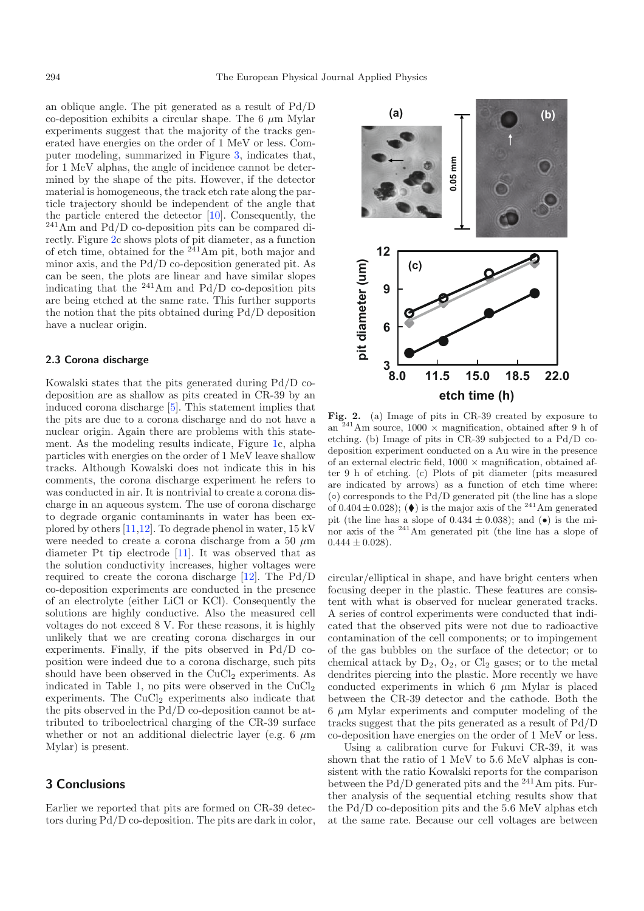an oblique angle. The pit generated as a result of Pd/D co-deposition exhibits a circular shape. The 6 *µ*m Mylar experiments suggest that the majority of the tracks generated have energies on the order of 1 MeV or less. Computer modeling, summarized in Figure [3,](#page-4-9) indicates that, for 1 MeV alphas, the angle of incidence cannot be determined by the shape of the pits. However, if the detector material is homogeneous, the track etch rate along the particle trajectory should be independent of the angle that the particle entered the detector [\[10\]](#page-4-10). Consequently, the <sup>241</sup>Am and Pd/D co-deposition pits can be compared directly. Figure [2c](#page-3-0) shows plots of pit diameter, as a function of etch time, obtained for the  $^{241}$ Am pit, both major and minor axis, and the Pd/D co-deposition generated pit. As can be seen, the plots are linear and have similar slopes indicating that the  $^{241}$ Am and Pd/D co-deposition pits are being etched at the same rate. This further supports the notion that the pits obtained during Pd/D deposition have a nuclear origin.

## **2.3 Corona discharge**

Kowalski states that the pits generated during Pd/D codeposition are as shallow as pits created in CR-39 by an induced corona discharge [\[5](#page-4-4)]. This statement implies that the pits are due to a corona discharge and do not have a nuclear origin. Again there are problems with this statement. As the modeling results indicate, Figure [1c](#page-1-0), alpha particles with energies on the order of 1 MeV leave shallow tracks. Although Kowalski does not indicate this in his comments, the corona discharge experiment he refers to was conducted in air. It is nontrivial to create a corona discharge in an aqueous system. The use of corona discharge to degrade organic contaminants in water has been explored by others [\[11](#page-4-11)[,12\]](#page-4-12). To degrade phenol in water, 15 kV were needed to create a corona discharge from a 50 *µ*m diameter Pt tip electrode [\[11\]](#page-4-11). It was observed that as the solution conductivity increases, higher voltages were required to create the corona discharge [\[12\]](#page-4-12). The Pd/D co-deposition experiments are conducted in the presence of an electrolyte (either LiCl or KCl). Consequently the solutions are highly conductive. Also the measured cell voltages do not exceed 8 V. For these reasons, it is highly unlikely that we are creating corona discharges in our experiments. Finally, if the pits observed in Pd/D coposition were indeed due to a corona discharge, such pits should have been observed in the  $CuCl<sub>2</sub>$  experiments. As indicated in Table 1, no pits were observed in the  $CuCl<sub>2</sub>$ experiments. The  $CuCl<sub>2</sub>$  experiments also indicate that the pits observed in the Pd/D co-deposition cannot be attributed to triboelectrical charging of the CR-39 surface whether or not an additional dielectric layer (e.g. 6  $\mu$ m) Mylar) is present.

# **3 Conclusions**

Earlier we reported that pits are formed on CR-39 detectors during Pd/D co-deposition. The pits are dark in color,



<span id="page-3-0"></span>**Fig. 2.** (a) Image of pits in CR-39 created by exposure to an  $241$ Am source, 1000  $\times$  magnification, obtained after 9 h of etching. (b) Image of pits in CR-39 subjected to a Pd/D codeposition experiment conducted on a Au wire in the presence of an external electric field,  $1000 \times$  magnification, obtained after 9 h of etching. (c) Plots of pit diameter (pits measured are indicated by arrows) as a function of etch time where:  $\circ$ ) corresponds to the Pd/D generated pit (the line has a slope of  $0.404 \pm 0.028$ ; ( $\blacklozenge$ ) is the major axis of the <sup>241</sup>Am generated pit (the line has a slope of  $0.434 \pm 0.038$ ); and ( $\bullet$ ) is the minor axis of the  $^{241}$ Am generated pit (the line has a slope of  $0.444 \pm 0.028$ .

circular/elliptical in shape, and have bright centers when focusing deeper in the plastic. These features are consistent with what is observed for nuclear generated tracks. A series of control experiments were conducted that indicated that the observed pits were not due to radioactive contamination of the cell components; or to impingement of the gas bubbles on the surface of the detector; or to chemical attack by  $D_2$ ,  $O_2$ , or  $Cl_2$  gases; or to the metal dendrites piercing into the plastic. More recently we have conducted experiments in which 6 *µ*m Mylar is placed between the CR-39 detector and the cathode. Both the 6 *µ*m Mylar experiments and computer modeling of the tracks suggest that the pits generated as a result of Pd/D co-deposition have energies on the order of 1 MeV or less.

Using a calibration curve for Fukuvi CR-39, it was shown that the ratio of 1 MeV to 5.6 MeV alphas is consistent with the ratio Kowalski reports for the comparison between the Pd/D generated pits and the <sup>241</sup>Am pits. Further analysis of the sequential etching results show that the Pd/D co-deposition pits and the 5.6 MeV alphas etch at the same rate. Because our cell voltages are between